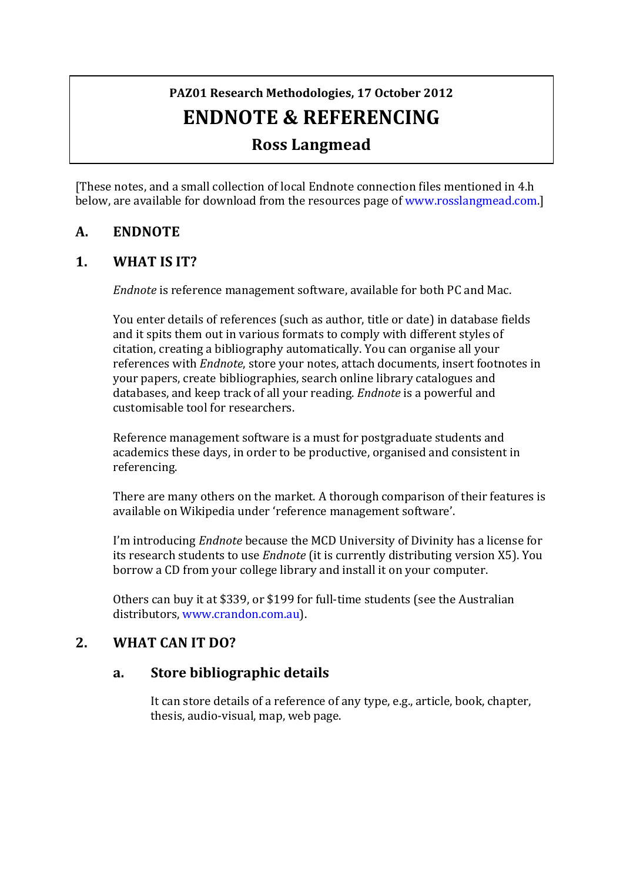# PAZ01 Research Methodologies, 17 October 2012 **ENDNOTE & REFERENCING**

# **Ross Langmead**

[These notes, and a small collection of local Endnote connection files mentioned in 4.h below, are available for download from the resources page of www.rosslangmead.com.]

## **A. ENDNOTE**

#### **1. WHAT IS IT?**

*Endnote* is reference management software, available for both PC and Mac.

You enter details of references (such as author, title or date) in database fields and it spits them out in various formats to comply with different styles of citation, creating a bibliography automatically. You can organise all your references with *Endnote*, store your notes, attach documents, insert footnotes in your papers, create bibliographies, search online library catalogues and databases, and keep track of all your reading. *Endnote* is a powerful and customisable tool for researchers.

Reference management software is a must for postgraduate students and academics these days, in order to be productive, organised and consistent in referencing.

There are many others on the market. A thorough comparison of their features is available on Wikipedia under 'reference management software'.

I'm introducing *Endnote* because the MCD University of Divinity has a license for its research students to use *Endnote* (it is currently distributing version X5). You borrow a CD from your college library and install it on your computer.

Others can buy it at \$339, or \$199 for full-time students (see the Australian distributors, www.crandon.com.au).

#### 2. **WHAT CAN IT DO?**

#### **a. Store bibliographic details**

It can store details of a reference of any type, e.g., article, book, chapter, thesis, audio-visual, map, web page.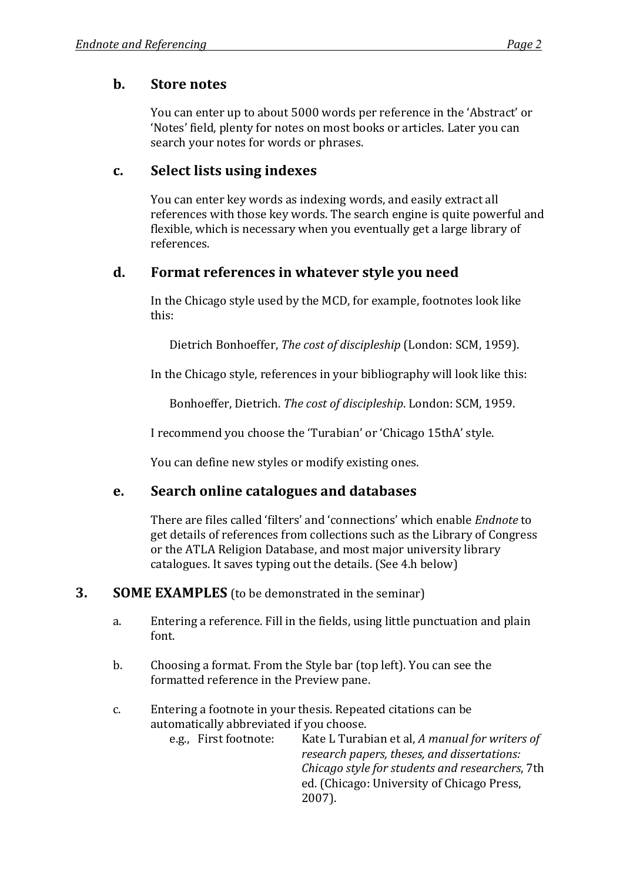### **b.** Store notes

You can enter up to about 5000 words per reference in the 'Abstract' or 'Notes' field, plenty for notes on most books or articles. Later you can search your notes for words or phrases.

### **c. Select lists using indexes**

You can enter key words as indexing words, and easily extract all references with those key words. The search engine is quite powerful and flexible, which is necessary when you eventually get a large library of references.

## **d. Format references in whatever style you need**

In the Chicago style used by the MCD, for example, footnotes look like this:

Dietrich Bonhoeffer, *The cost of discipleship* (London: SCM, 1959).

In the Chicago style, references in your bibliography will look like this:

Bonhoeffer, Dietrich. The cost of discipleship. London: SCM, 1959.

I recommend you choose the 'Turabian' or 'Chicago 15thA' style.

You can define new styles or modify existing ones.

## **e. Search online catalogues and databases**

There are files called 'filters' and 'connections' which enable *Endnote* to get details of references from collections such as the Library of Congress or the ATLA Religion Database, and most major university library catalogues. It saves typing out the details. (See 4.h below)

#### **3. SOME EXAMPLES** (to be demonstrated in the seminar)

- a. Entering a reference. Fill in the fields, using little punctuation and plain font.
- b. Choosing a format. From the Style bar (top left). You can see the formatted reference in the Preview pane.
- c. Entering a footnote in your thesis. Repeated citations can be automatically abbreviated if you choose. e.g., First footnote: Kate L Turabian et al, A manual for writers of *research papers, theses, and dissertations: Chicago style for students and researchers*, 7th ed. (Chicago: University of Chicago Press, 2007).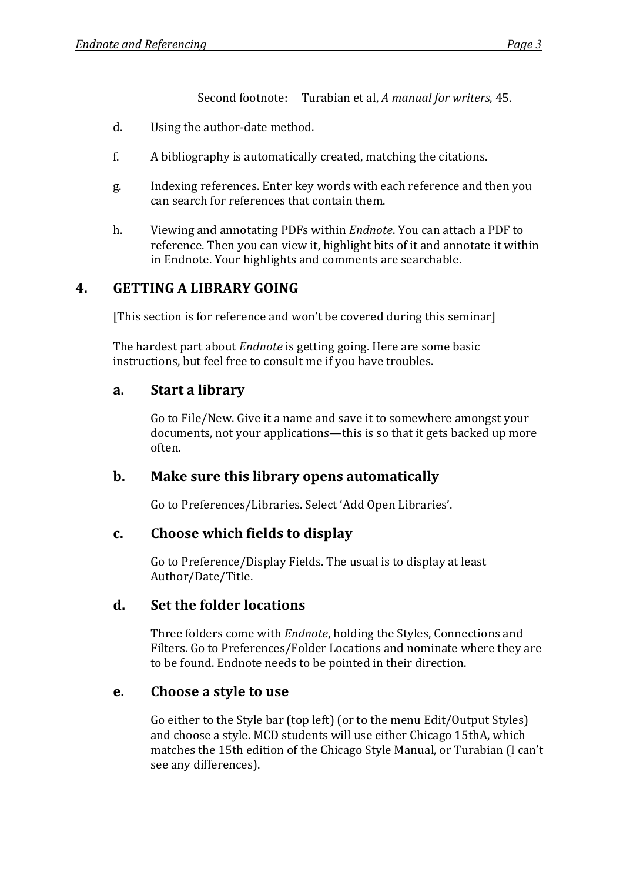Second footnote: Turabian et al, *A manual for writers*, 45.

- d. Using the author-date method.
- $f.$  A bibliography is automatically created, matching the citations.
- g. Indexing references. Enter key words with each reference and then you can search for references that contain them.
- h. Viewing and annotating PDFs within *Endnote*. You can attach a PDF to reference. Then you can view it, highlight bits of it and annotate it within in Endnote. Your highlights and comments are searchable.

## **4. GETTING A LIBRARY GOING**

[This section is for reference and won't be covered during this seminar]

The hardest part about *Endnote* is getting going. Here are some basic instructions, but feel free to consult me if you have troubles.

## **a. Start a library**

Go to File/New. Give it a name and save it to somewhere amongst your documents, not your applications—this is so that it gets backed up more often.

## **b.** Make sure this library opens automatically

Go to Preferences/Libraries. Select 'Add Open Libraries'.

#### **c.** Choose which fields to display

Go to Preference/Display Fields. The usual is to display at least Author/Date/Title.

#### d. Set the folder locations

Three folders come with *Endnote*, holding the Styles, Connections and Filters. Go to Preferences/Folder Locations and nominate where they are to be found. Endnote needs to be pointed in their direction.

#### **e.** Choose a style to use

Go either to the Style bar (top left) (or to the menu Edit/Output Styles) and choose a style. MCD students will use either Chicago 15thA, which matches the 15th edition of the Chicago Style Manual, or Turabian (I can't see any differences).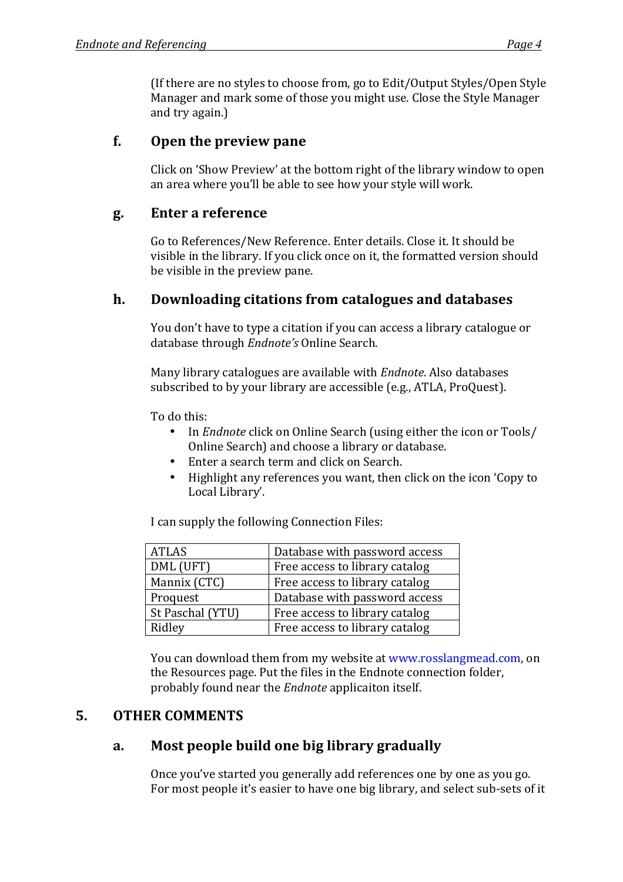(If there are no styles to choose from, go to Edit/Output Styles/Open Style Manager and mark some of those you might use. Close the Style Manager and try again.)

## **f.** Open the preview pane

Click on 'Show Preview' at the bottom right of the library window to open an area where you'll be able to see how your style will work.

#### **g. Enter a reference**

Go to References/New Reference. Enter details. Close it. It should be visible in the library. If you click once on it, the formatted version should be visible in the preview pane.

## **h. Downloading citations from catalogues and databases**

You don't have to type a citation if you can access a library catalogue or database through *Endnote's* Online Search.

Many library catalogues are available with *Endnote*. Also databases subscribed to by your library are accessible (e.g., ATLA, ProQuest).

To do this:

- In *Endnote* click on Online Search (using either the icon or Tools/ Online Search) and choose a library or database.
- Enter a search term and click on Search.
- Highlight any references you want, then click on the icon 'Copy to Local Library'.

I can supply the following Connection Files:

| <b>ATLAS</b>     | Database with password access  |
|------------------|--------------------------------|
| DML (UFT)        | Free access to library catalog |
| Mannix (CTC)     | Free access to library catalog |
| Proquest         | Database with password access  |
| St Paschal (YTU) | Free access to library catalog |
| Ridley           | Free access to library catalog |

You can download them from my website at www.rosslangmead.com, on the Resources page. Put the files in the Endnote connection folder, probably found near the *Endnote* applicaiton itself.

## **5. OTHER COMMENTS**

## **a.** Most people build one big library gradually

Once you've started you generally add references one by one as you go. For most people it's easier to have one big library, and select sub-sets of it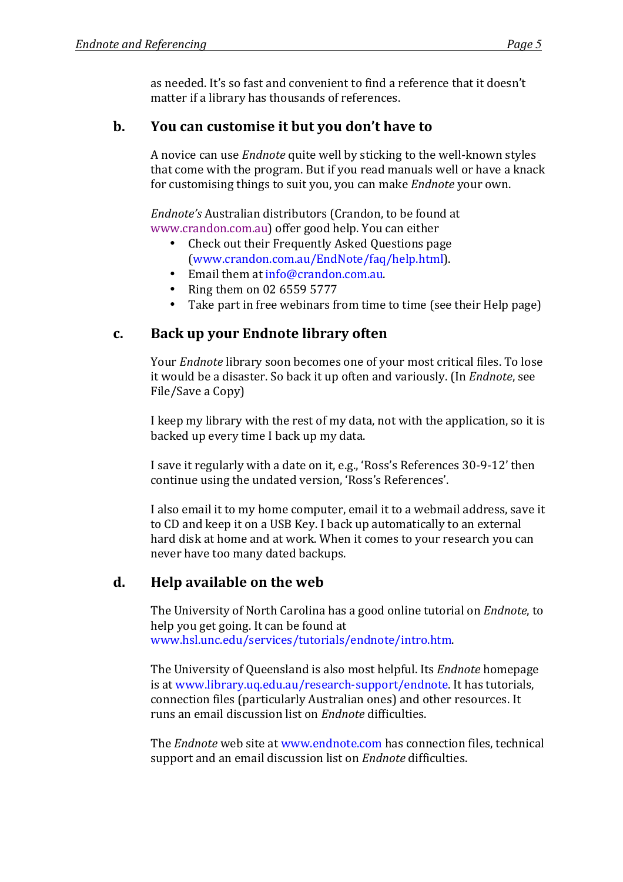as needed. It's so fast and convenient to find a reference that it doesn't matter if a library has thousands of references.

## **b.** You can customise it but you don't have to

A novice can use *Endnote* quite well by sticking to the well-known styles that come with the program. But if you read manuals well or have a knack for customising things to suit you, you can make *Endnote* your own.

*Endnote's* Australian distributors (Crandon, to be found at www.crandon.com.au) offer good help. You can either

- Check out their Frequently Asked Questions page (www.crandon.com.au/EndNote/faq/help.html).
- Email them at  $info@crandon.com.au$ .
- Ring them on  $02$  6559 5777
- Take part in free webinars from time to time (see their Help page)

## **c. Back up your Endnote library often**

Your *Endnote* library soon becomes one of your most critical files. To lose it would be a disaster. So back it up often and variously. (In *Endnote*, see File/Save a Copy)

I keep my library with the rest of my data, not with the application, so it is backed up every time I back up my data.

I save it regularly with a date on it, e.g., 'Ross's References 30-9-12' then continue using the undated version, 'Ross's References'.

I also email it to my home computer, email it to a webmail address, save it to CD and keep it on a USB Key. I back up automatically to an external hard disk at home and at work. When it comes to your research you can never have too many dated backups.

# d. **Help** available on the web

The University of North Carolina has a good online tutorial on *Endnote*, to help you get going. It can be found at www.hsl.unc.edu/services/tutorials/endnote/intro.htm.

The University of Queensland is also most helpful. Its *Endnote* homepage is at www.library.uq.edu.au/research-support/endnote. It has tutorials, connection files (particularly Australian ones) and other resources. It runs an email discussion list on *Endnote* difficulties.

The *Endnote* web site at www.endnote.com has connection files, technical support and an email discussion list on *Endnote* difficulties.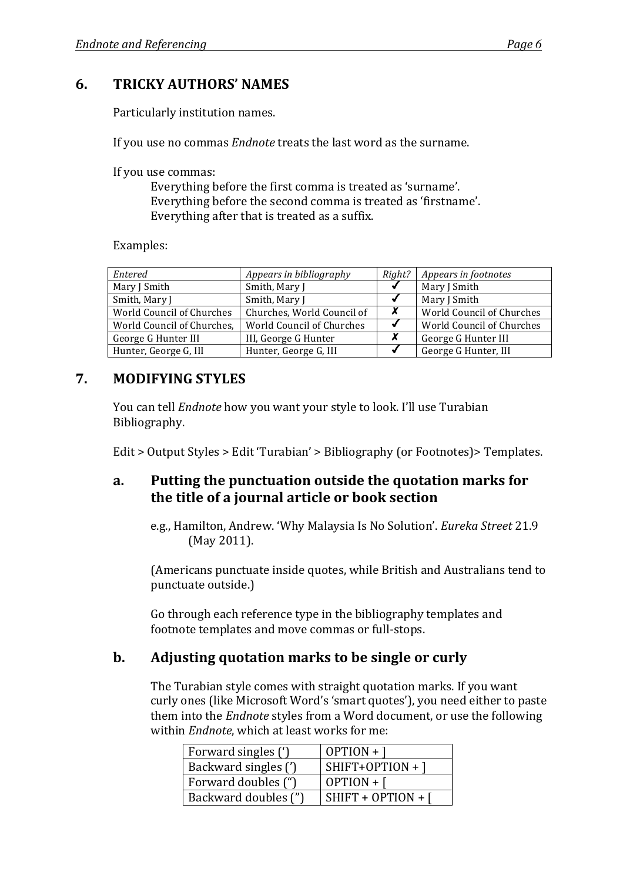### **6. TRICKY AUTHORS' NAMES**

Particularly institution names.

If you use no commas *Endnote* treats the last word as the surname.

If you use commas:

Everything before the first comma is treated as 'surname'. Everything before the second comma is treated as 'firstname'. Everything after that is treated as a suffix.

Examples:

| Entered                    | Appears in bibliography    | Right? | Appears in footnotes      |
|----------------------------|----------------------------|--------|---------------------------|
| Mary J Smith               | Smith, Mary J              |        | Mary J Smith              |
| Smith, Mary J              | Smith, Mary J              |        | Mary J Smith              |
| World Council of Churches  | Churches, World Council of | X      | World Council of Churches |
| World Council of Churches, | World Council of Churches  |        | World Council of Churches |
| George G Hunter III        | III, George G Hunter       | X      | George G Hunter III       |
| Hunter, George G, III      | Hunter, George G, III      |        | George G Hunter, III      |

#### **7. MODIFYING STYLES**

You can tell *Endnote* how you want your style to look. I'll use Turabian Bibliography.

 $Edit > Output$  Styles  $> Edit$  'Turabian'  $> Bibliography$  (or Footnotes) $>$  Templates.

#### a. Putting the punctuation outside the quotation marks for **the title of a journal article or book section**

e.g., Hamilton, Andrew. 'Why Malaysia Is No Solution'. *Eureka Street* 21.9 (May 2011).

(Americans punctuate inside quotes, while British and Australians tend to punctuate outside.)

Go through each reference type in the bibliography templates and footnote templates and move commas or full-stops.

#### **b.** Adjusting quotation marks to be single or curly

The Turabian style comes with straight quotation marks. If you want curly ones (like Microsoft Word's 'smart quotes'), you need either to paste them into the *Endnote* styles from a Word document, or use the following within *Endnote*, which at least works for me

| Forward singles (')  | $OPTION +$        |
|----------------------|-------------------|
| Backward singles (') | $SHIFT+OPTION+$ ] |
| Forward doubles (")  | $OPTION + \lceil$ |
| Backward doubles (") | SHIFT + OPTION +  |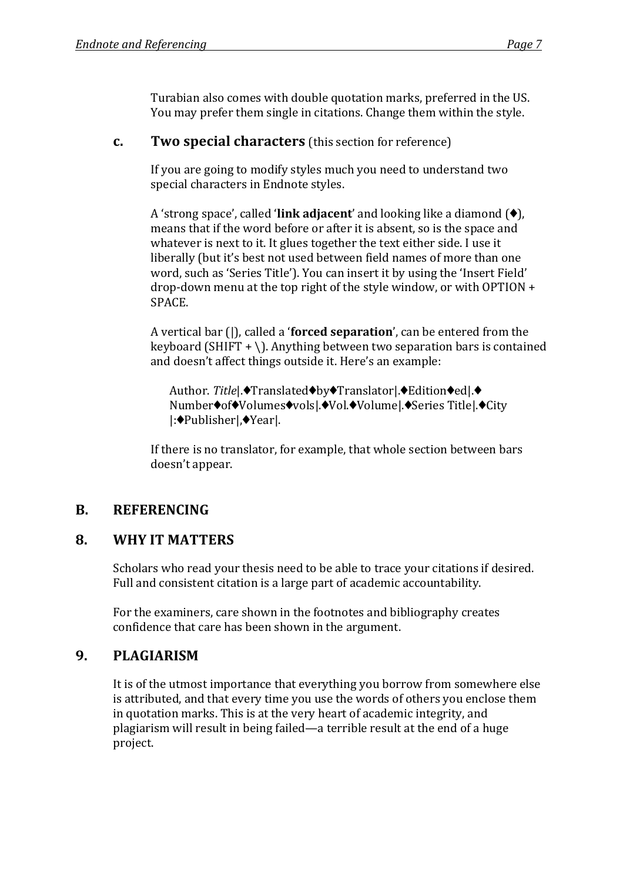Turabian also comes with double quotation marks, preferred in the US. You may prefer them single in citations. Change them within the style.

#### **c. Two special characters** (this section for reference)

If you are going to modify styles much you need to understand two special characters in Endnote styles.

A 'strong space', called **'link adjacent'** and looking like a diamond  $(\diamondsuit)$ , means that if the word before or after it is absent, so is the space and whatever is next to it. It glues together the text either side. I use it liberally (but it's best not used between field names of more than one word, such as 'Series Title'). You can insert it by using the 'Insert Field' drop-down menu at the top right of the style window, or with  $OPTION +$ SPACE.

A vertical bar (|), called a '**forced separation**', can be entered from the keyboard (SHIFT + \). Anything between two separation bars is contained and doesn't affect things outside it. Here's an example:

Author. Title|.<sup>◆</sup>Translated<sup>◆</sup>by◆Translator|.◆Edition◆ed|.◆ Number $\bullet$ of $\bullet$ Volumes $\bullet$ vols $\bullet$ Vol. $\bullet$ Volume $\bullet$ Series Title $\bullet$ City |:Publisher|,Year|.

If there is no translator, for example, that whole section between bars doesn't appear.

## **B. REFERENCING**

#### **8. WHY IT MATTERS**

Scholars who read your thesis need to be able to trace your citations if desired. Full and consistent citation is a large part of academic accountability.

For the examiners, care shown in the footnotes and bibliography creates confidence that care has been shown in the argument.

#### **9. PLAGIARISM**

It is of the utmost importance that everything you borrow from somewhere else is attributed, and that every time you use the words of others you enclose them in quotation marks. This is at the very heart of academic integrity, and plagiarism will result in being failed—a terrible result at the end of a huge project.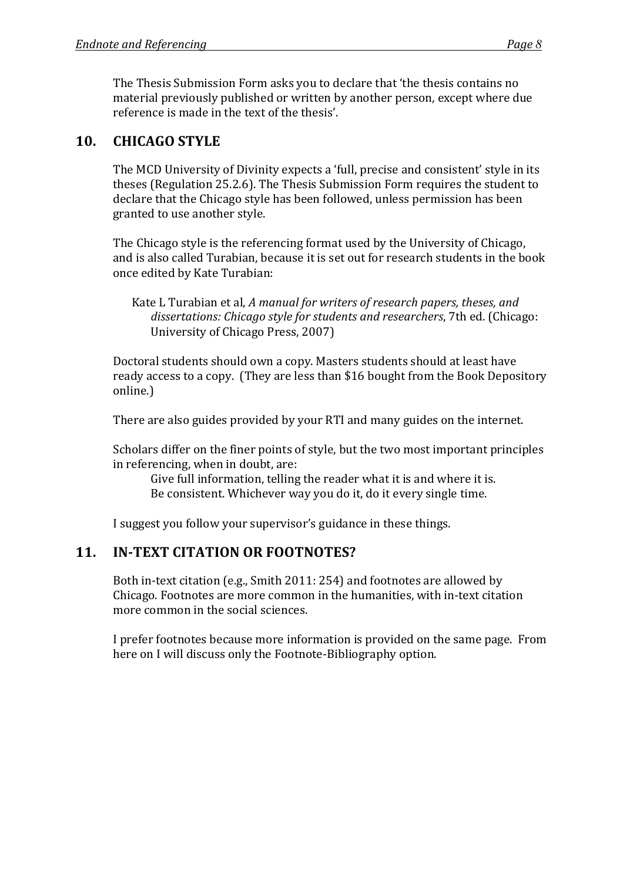The Thesis Submission Form asks you to declare that 'the thesis contains no material previously published or written by another person, except where due reference is made in the text of the thesis'.

## **10. CHICAGO STYLE**

The MCD University of Divinity expects a 'full, precise and consistent' style in its theses (Regulation 25.2.6). The Thesis Submission Form requires the student to declare that the Chicago style has been followed, unless permission has been granted to use another style.

The Chicago style is the referencing format used by the University of Chicago, and is also called Turabian, because it is set out for research students in the book once edited by Kate Turabian:

Kate L Turabian et al, *A manual for writers of research papers, theses, and* dissertations: *Chicago style for students and researchers*, 7th ed. (Chicago: University of Chicago Press, 2007)

Doctoral students should own a copy. Masters students should at least have ready access to a copy. (They are less than \$16 bought from the Book Depository online.)

There are also guides provided by your RTI and many guides on the internet.

Scholars differ on the finer points of style, but the two most important principles in referencing, when in doubt, are:

Give full information, telling the reader what it is and where it is. Be consistent. Whichever way you do it, do it every single time.

I suggest you follow your supervisor's guidance in these things.

## **11. IN-TEXT CITATION OR FOOTNOTES?**

Both in-text citation (e.g., Smith 2011: 254) and footnotes are allowed by Chicago. Footnotes are more common in the humanities, with in-text citation more common in the social sciences.

I prefer footnotes because more information is provided on the same page. From here on I will discuss only the Footnote-Bibliography option.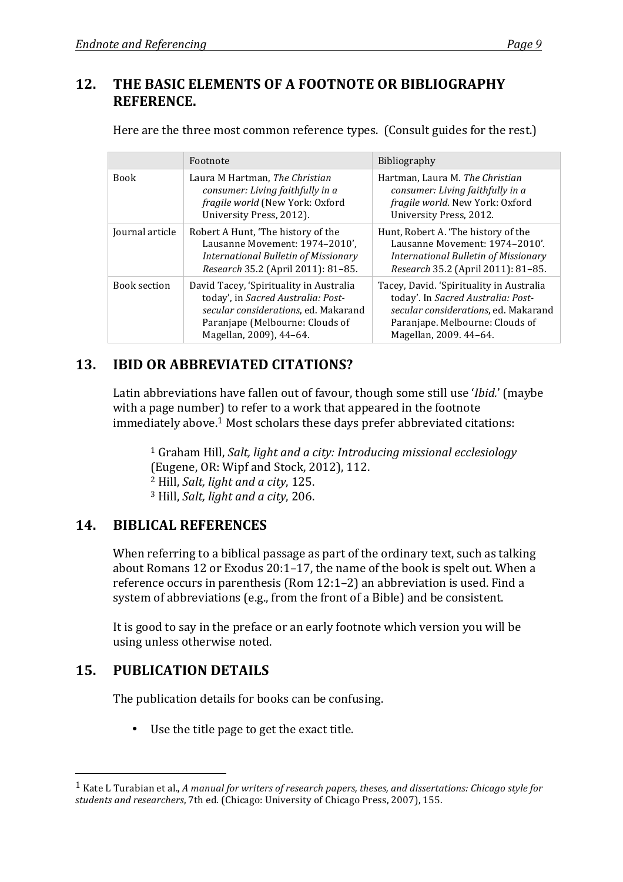### 12. THE BASIC ELEMENTS OF A FOOTNOTE OR BIBLIOGRAPHY **REFERENCE.**

Here are the three most common reference types. (Consult guides for the rest.)

|                 | Footnote                                                                                                                                                                            | <b>Bibliography</b>                                                                                                                                                                 |
|-----------------|-------------------------------------------------------------------------------------------------------------------------------------------------------------------------------------|-------------------------------------------------------------------------------------------------------------------------------------------------------------------------------------|
| <b>Book</b>     | Laura M Hartman, The Christian<br>consumer: Living faithfully in a<br>fragile world (New York: Oxford<br>University Press, 2012).                                                   | Hartman, Laura M. The Christian<br>consumer: Living faithfully in a<br>fragile world. New York: Oxford<br>University Press, 2012.                                                   |
| Journal article | Robert A Hunt, 'The history of the<br>Lausanne Movement: 1974-2010',<br><b>International Bulletin of Missionary</b><br>Research 35.2 (April 2011): 81-85.                           | Hunt, Robert A. 'The history of the<br>Lausanne Movement: 1974-2010'.<br>International Bulletin of Missionary<br>Research 35.2 (April 2011): 81-85.                                 |
| Book section    | David Tacey, 'Spirituality in Australia<br>today', in Sacred Australia: Post-<br>secular considerations, ed. Makarand<br>Paranjape (Melbourne: Clouds of<br>Magellan, 2009), 44-64. | Tacey, David. 'Spirituality in Australia<br>today'. In Sacred Australia: Post-<br>secular considerations, ed. Makarand<br>Paranjape. Melbourne: Clouds of<br>Magellan, 2009. 44-64. |

# **13. IBID OR ABBREVIATED CITATIONS?**

Latin abbreviations have fallen out of favour, though some still use '*Ibid.*' (maybe with a page number) to refer to a work that appeared in the footnote immediately above.<sup>1</sup> Most scholars these days prefer abbreviated citations:

<sup>1</sup> Graham Hill, *Salt, light and a city: Introducing missional ecclesiology* (Eugene, OR: Wipf and Stock, 2012), 112. <sup>2</sup> Hill, *Salt*, *light and a city*, 125. <sup>3</sup> Hill, *Salt, light and a city*, 206.

## **14. BIBLICAL REFERENCES**

When referring to a biblical passage as part of the ordinary text, such as talking about Romans 12 or Exodus  $20:1-17$ , the name of the book is spelt out. When a reference occurs in parenthesis (Rom  $12:1-2$ ) an abbreviation is used. Find a system of abbreviations (e.g., from the front of a Bible) and be consistent.

It is good to say in the preface or an early footnote which version you will be using unless otherwise noted.

# **15. PUBLICATION DETAILS**

 $\overline{a}$ 

The publication details for books can be confusing.

• Use the title page to get the exact title.

<sup>&</sup>lt;sup>1</sup> Kate L Turabian et al., *A* manual for writers of research papers, theses, and dissertations: Chicago style for *students and researchers*, 7th ed. (Chicago: University of Chicago Press, 2007), 155.